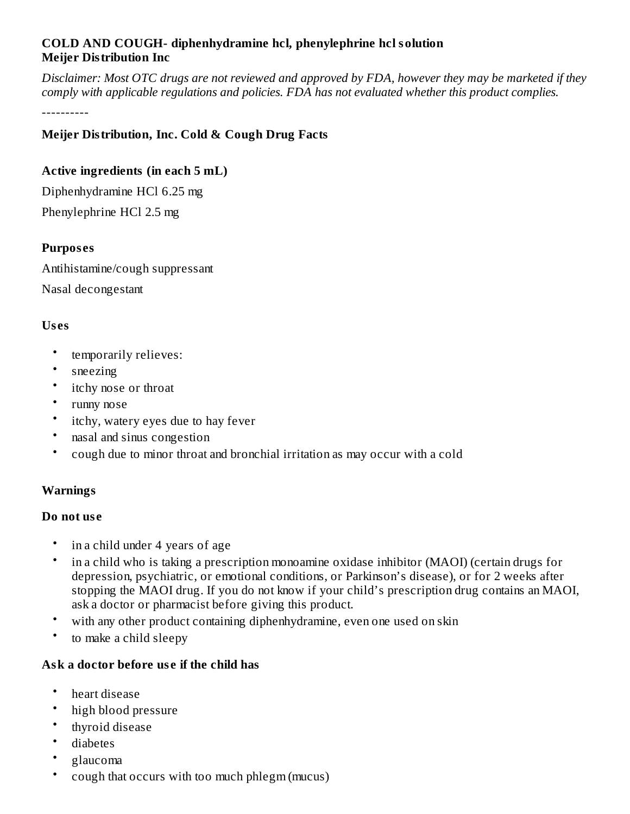# **COLD AND COUGH- diphenhydramine hcl, phenylephrine hcl solution Meijer Distribution Inc**

Disclaimer: Most OTC drugs are not reviewed and approved by FDA, however they may be marketed if they *comply with applicable regulations and policies. FDA has not evaluated whether this product complies.*

----------

# **Meijer Distribution, Inc. Cold & Cough Drug Facts**

# **Active ingredients (in each 5 mL)**

Diphenhydramine HCl 6.25 mg Phenylephrine HCl 2.5 mg

# **Purpos es**

Antihistamine/cough suppressant Nasal decongestant

### **Us es**

- temporarily relieves:
- sneezing
- itchy nose or throat
- runny nose
- itchy, watery eyes due to hay fever
- nasal and sinus congestion
- cough due to minor throat and bronchial irritation as may occur with a cold

# **Warnings**

#### **Do not us e**

- in a child under 4 years of age
- in a child who is taking a prescription monoamine oxidase inhibitor (MAOI) (certain drugs for depression, psychiatric, or emotional conditions, or Parkinson's disease), or for 2 weeks after stopping the MAOI drug. If you do not know if your child's prescription drug contains an MAOI, ask a doctor or pharmacist before giving this product.
- with any other product containing diphenhydramine, even one used on skin
- to make a child sleepy

# **Ask a doctor before us e if the child has**

- heart disease
- high blood pressure
- thyroid disease
- diabetes
- glaucoma
- cough that occurs with too much phlegm (mucus)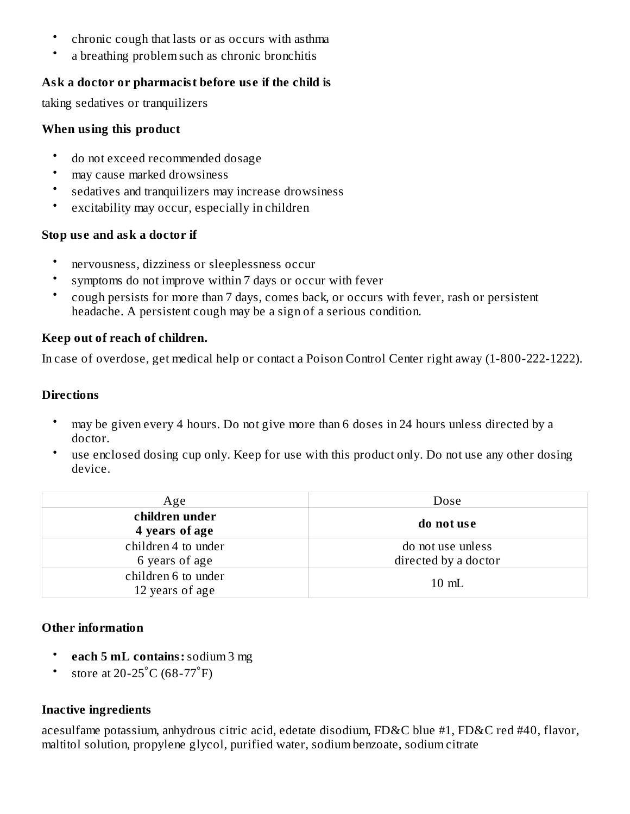- chronic cough that lasts or as occurs with asthma
- a breathing problem such as chronic bronchitis

# **Ask a doctor or pharmacist before us e if the child is**

taking sedatives or tranquilizers

# **When using this product**

- do not exceed recommended dosage
- may cause marked drowsiness
- sedatives and tranquilizers may increase drowsiness
- excitability may occur, especially in children

# **Stop us e and ask a doctor if**

- nervousness, dizziness or sleeplessness occur
- symptoms do not improve within 7 days or occur with fever
- cough persists for more than 7 days, comes back, or occurs with fever, rash or persistent headache. A persistent cough may be a sign of a serious condition.

# **Keep out of reach of children.**

In case of overdose, get medical help or contact a Poison Control Center right away (1-800-222-1222).

# **Directions**

- may be given every 4 hours. Do not give more than 6 doses in 24 hours unless directed by a doctor.
- use enclosed dosing cup only. Keep for use with this product only. Do not use any other dosing device.

| Age                                    | Dose                 |  |  |
|----------------------------------------|----------------------|--|--|
| children under<br>4 years of age       | do not use           |  |  |
| children 4 to under                    | do not use unless    |  |  |
| 6 years of age                         | directed by a doctor |  |  |
| children 6 to under<br>12 years of age | $10 \text{ mL}$      |  |  |

# **Other information**

- **each 5 mL contains:**sodium 3 mg
- store at 20-25 $^{\circ}$ C (68-77 $^{\circ}$ F)

# **Inactive ingredients**

acesulfame potassium, anhydrous citric acid, edetate disodium, FD&C blue #1, FD&C red #40, flavor, maltitol solution, propylene glycol, purified water, sodium benzoate, sodium citrate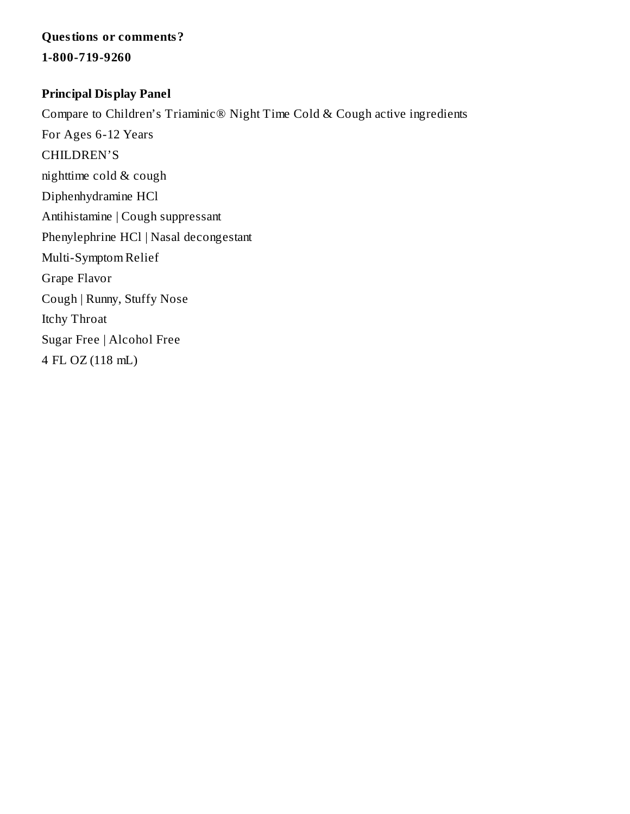# **Questions or comments?**

**1-800-719-9260**

# **Principal Display Panel**

Compare to Children's Triaminic® Night Time Cold & Cough active ingredients For Ages 6-12 Years CHILDREN'S nighttime cold & cough Diphenhydramine HCl Antihistamine | Cough suppressant Phenylephrine HCl | Nasal decongestant Multi-Symptom Relief Grape Flavor Cough | Runny, Stuffy Nose Itchy Throat Sugar Free | Alcohol Free

4 FL OZ (118 mL)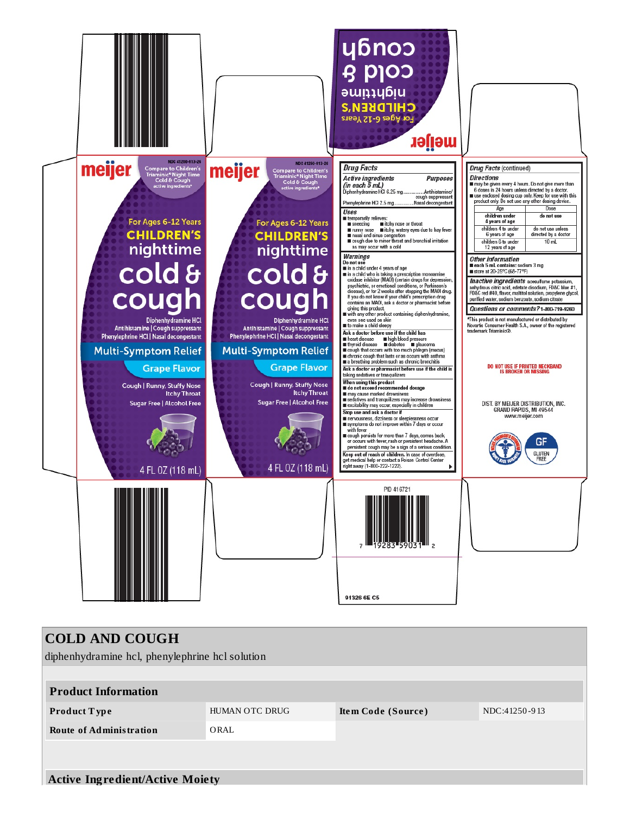

| <b>COLD AND COUGH</b><br>diphenhydramine hcl, phenylephrine hcl solution |                |                    |               |  |  |  |  |  |
|--------------------------------------------------------------------------|----------------|--------------------|---------------|--|--|--|--|--|
| <b>Product Information</b>                                               |                |                    |               |  |  |  |  |  |
| <b>Product Type</b>                                                      | HUMAN OTC DRUG | Item Code (Source) | NDC:41250-913 |  |  |  |  |  |
| <b>Route of Administration</b>                                           | ORAL           |                    |               |  |  |  |  |  |
|                                                                          |                |                    |               |  |  |  |  |  |
| <b>Active Ingredient/Active Moiety</b>                                   |                |                    |               |  |  |  |  |  |